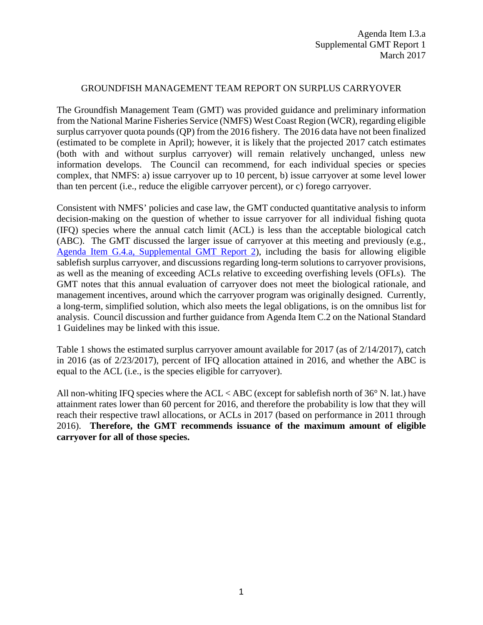### GROUNDFISH MANAGEMENT TEAM REPORT ON SURPLUS CARRYOVER

The Groundfish Management Team (GMT) was provided guidance and preliminary information from the National Marine Fisheries Service (NMFS) West Coast Region (WCR), regarding eligible surplus carryover quota pounds (QP) from the 2016 fishery. The 2016 data have not been finalized (estimated to be complete in April); however, it is likely that the projected 2017 catch estimates (both with and without surplus carryover) will remain relatively unchanged, unless new information develops. The Council can recommend, for each individual species or species complex, that NMFS: a) issue carryover up to 10 percent, b) issue carryover at some level lower than ten percent (i.e., reduce the eligible carryover percent), or c) forego carryover.

Consistent with NMFS' policies and case law, the GMT conducted quantitative analysis to inform decision-making on the question of whether to issue carryover for all individual fishing quota (IFQ) species where the annual catch limit (ACL) is less than the acceptable biological catch (ABC). The GMT discussed the larger issue of carryover at this meeting and previously (e.g., [Agenda Item G.4.a, Supplemental GMT Report 2\)](http://www.pcouncil.org/wp-content/uploads/2016/03/G4a_Sup_GMT_Rpt2_Surplus_MAR2016BB.pdf), including the basis for allowing eligible sablefish surplus carryover, and discussions regarding long-term solutions to carryover provisions, as well as the meaning of exceeding ACLs relative to exceeding overfishing levels (OFLs). The GMT notes that this annual evaluation of carryover does not meet the biological rationale, and management incentives, around which the carryover program was originally designed. Currently, a long-term, simplified solution, which also meets the legal obligations, is on the omnibus list for analysis. Council discussion and further guidance from Agenda Item C.2 on the National Standard 1 Guidelines may be linked with this issue.

Table 1 shows the estimated surplus carryover amount available for 2017 (as of 2/14/2017), catch in 2016 (as of 2/23/2017), percent of IFQ allocation attained in 2016, and whether the ABC is equal to the ACL (i.e., is the species eligible for carryover).

All non-whiting IFQ species where the ACL < ABC (except for sablefish north of 36° N. lat.) have attainment rates lower than 60 percent for 2016, and therefore the probability is low that they will reach their respective trawl allocations, or ACLs in 2017 (based on performance in 2011 through 2016). **Therefore, the GMT recommends issuance of the maximum amount of eligible carryover for all of those species.**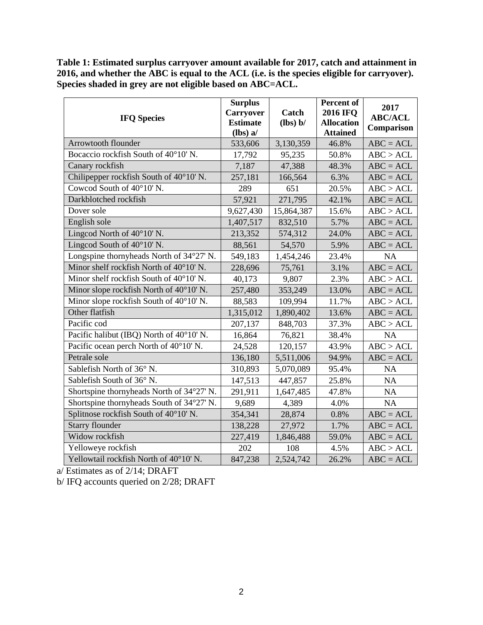**Table 1: Estimated surplus carryover amount available for 2017, catch and attainment in 2016, and whether the ABC is equal to the ACL (i.e. is the species eligible for carryover). Species shaded in grey are not eligible based on ABC=ACL.**

| <b>IFQ Species</b>                        | <b>Surplus</b><br><b>Carryover</b><br><b>Estimate</b><br>$(lbs)$ a/ | Catch<br>(lbs) b/ | Percent of<br><b>2016 IFQ</b><br><b>Allocation</b><br><b>Attained</b> | 2017<br><b>ABC/ACL</b><br>Comparison |
|-------------------------------------------|---------------------------------------------------------------------|-------------------|-----------------------------------------------------------------------|--------------------------------------|
| Arrowtooth flounder                       | 533,606                                                             | 3,130,359         | 46.8%                                                                 | $ABC = ACL$                          |
| Bocaccio rockfish South of 40°10' N.      | 17,792                                                              | 95,235            | 50.8%                                                                 | ABC > ACL                            |
| Canary rockfish                           | 7,187                                                               | 47,388            | 48.3%                                                                 | $ABC = ACL$                          |
| Chilipepper rockfish South of 40°10' N.   | 257,181                                                             | 166,564           | 6.3%                                                                  | $ABC = ACL$                          |
| Cowcod South of 40°10' N.                 | 289                                                                 | 651               | 20.5%                                                                 | ABC > ACL                            |
| Darkblotched rockfish                     | 57,921                                                              | 271,795           | 42.1%                                                                 | $ABC = ACL$                          |
| Dover sole                                | 9,627,430                                                           | 15,864,387        | 15.6%                                                                 | ABC > ACL                            |
| English sole                              | 1,407,517                                                           | 832,510           | 5.7%                                                                  | $ABC = ACL$                          |
| Lingcod North of 40°10' N.                | 213,352                                                             | 574,312           | 24.0%                                                                 | $ABC = ACL$                          |
| Lingcod South of $40^{\circ}10'$ N.       | 88,561                                                              | 54,570            | 5.9%                                                                  | $ABC = ACL$                          |
| Longspine thornyheads North of 34°27' N.  | 549,183                                                             | 1,454,246         | 23.4%                                                                 | NA                                   |
| Minor shelf rockfish North of 40°10' N.   | 228,696                                                             | 75,761            | 3.1%                                                                  | $ABC = ACL$                          |
| Minor shelf rockfish South of 40°10' N.   | 40,173                                                              | 9,807             | 2.3%                                                                  | ABC > ACL                            |
| Minor slope rockfish North of 40°10' N.   | 257,480                                                             | 353,249           | 13.0%                                                                 | $ABC = ACL$                          |
| Minor slope rockfish South of 40°10' N.   | 88,583                                                              | 109,994           | 11.7%                                                                 | ABC > ACL                            |
| Other flatfish                            | 1,315,012                                                           | 1,890,402         | 13.6%                                                                 | $ABC = ACL$                          |
| Pacific cod                               | 207,137                                                             | 848,703           | 37.3%                                                                 | ABC > ACL                            |
| Pacific halibut (IBQ) North of 40°10' N.  | 16,864                                                              | 76,821            | 38.4%                                                                 | NA                                   |
| Pacific ocean perch North of 40°10' N.    | 24,528                                                              | 120,157           | 43.9%                                                                 | ABC > ACL                            |
| Petrale sole                              | 136,180                                                             | 5,511,006         | 94.9%                                                                 | $ABC = ACL$                          |
| Sablefish North of 36° N.                 | 310,893                                                             | 5,070,089         | 95.4%                                                                 | NA                                   |
| Sablefish South of 36° N.                 | 147,513                                                             | 447,857           | 25.8%                                                                 | <b>NA</b>                            |
| Shortspine thornyheads North of 34°27' N. | 291,911                                                             | 1,647,485         | 47.8%                                                                 | NA                                   |
| Shortspine thornyheads South of 34°27' N. | 9,689                                                               | 4,389             | 4.0%                                                                  | <b>NA</b>                            |
| Splitnose rockfish South of 40°10' N.     | 354,341                                                             | 28,874            | 0.8%                                                                  | $ABC = ACL$                          |
| <b>Starry flounder</b>                    | 138,228                                                             | 27,972            | 1.7%                                                                  | $ABC = ACL$                          |
| Widow rockfish                            | 227,419                                                             | 1,846,488         | 59.0%                                                                 | $ABC = ACL$                          |
| Yelloweye rockfish                        | 202                                                                 | 108               | 4.5%                                                                  | ABC > ACL                            |
| Yellowtail rockfish North of 40°10' N.    | 847,238                                                             | 2,524,742         | 26.2%                                                                 | $ABC = ACL$                          |

a/ Estimates as of 2/14; DRAFT

b/ IFQ accounts queried on 2/28; DRAFT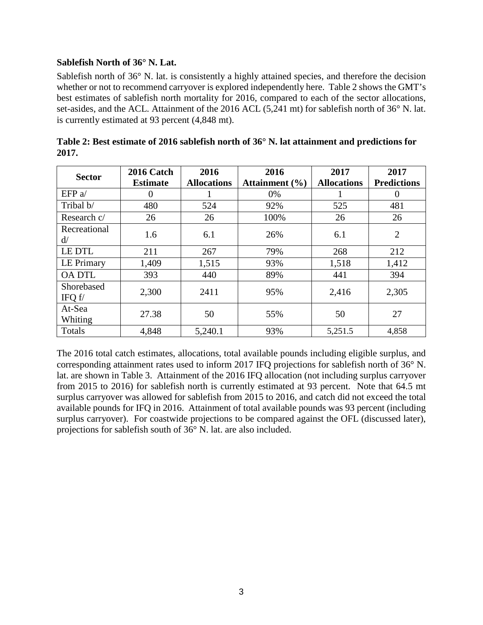# **Sablefish North of 36° N. Lat.**

Sablefish north of 36° N. lat. is consistently a highly attained species, and therefore the decision whether or not to recommend carryover is explored independently here. Table 2 shows the GMT's best estimates of sablefish north mortality for 2016, compared to each of the sector allocations, set-asides, and the ACL. Attainment of the 2016 ACL (5,241 mt) for sablefish north of 36° N. lat. is currently estimated at 93 percent (4,848 mt).

| <b>Sector</b>           | 2016 Catch<br><b>Estimate</b> | 2016<br><b>Allocations</b> | 2016<br>Attainment $(\% )$ | 2017<br><b>Allocations</b> | 2017<br><b>Predictions</b> |
|-------------------------|-------------------------------|----------------------------|----------------------------|----------------------------|----------------------------|
| EFP $a$                 | O                             |                            | 0%                         |                            | $\theta$                   |
| Tribal b/               | 480                           | 524                        | 92%                        | 525                        | 481                        |
| Research c/             | 26                            | 26                         | 100%                       | 26                         | 26                         |
| Recreational<br>d/      | 1.6                           | 6.1                        | 26%                        | 6.1                        | $\overline{2}$             |
| LE DTL                  | 211                           | 267                        | 79%                        | 268                        | 212                        |
| LE Primary              | 1,409                         | 1,515                      | 93%                        | 1,518                      | 1,412                      |
| <b>OA DTL</b>           | 393                           | 440                        | 89%                        | 441                        | 394                        |
| Shorebased<br>IFQ $f$ / | 2,300                         | 2411                       | 95%                        | 2,416                      | 2,305                      |
| At-Sea<br>Whiting       | 27.38                         | 50                         | 55%                        | 50                         | 27                         |
| Totals                  | 4,848                         | 5,240.1                    | 93%                        | 5,251.5                    | 4,858                      |

| Table 2: Best estimate of 2016 sablefish north of 36 $^{\circ}$ N. lat attainment and predictions for |  |
|-------------------------------------------------------------------------------------------------------|--|
| 2017.                                                                                                 |  |

The 2016 total catch estimates, allocations, total available pounds including eligible surplus, and corresponding attainment rates used to inform 2017 IFQ projections for sablefish north of 36° N. lat. are shown in Table 3. Attainment of the 2016 IFQ allocation (not including surplus carryover from 2015 to 2016) for sablefish north is currently estimated at 93 percent. Note that 64.5 mt surplus carryover was allowed for sablefish from 2015 to 2016, and catch did not exceed the total available pounds for IFQ in 2016. Attainment of total available pounds was 93 percent (including surplus carryover). For coastwide projections to be compared against the OFL (discussed later), projections for sablefish south of 36° N. lat. are also included.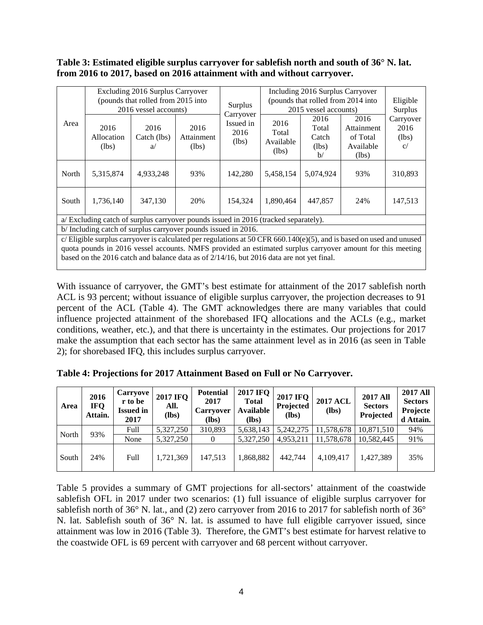### **Table 3: Estimated eligible surplus carryover for sablefish north and south of 36° N. lat. from 2016 to 2017, based on 2016 attainment with and without carryover.**

|                                                                                                                                                                                                                                                                                                                                  |                             | Excluding 2016 Surplus Carryover<br>(pounds that rolled from 2015 into<br>2016 vessel accounts) |                             | Surplus                                 | Including 2016 Surplus Carryover<br>(pounds that rolled from 2014 into<br>2015 vessel accounts) |                                                 |                                                      | Eligible<br>Surplus              |
|----------------------------------------------------------------------------------------------------------------------------------------------------------------------------------------------------------------------------------------------------------------------------------------------------------------------------------|-----------------------------|-------------------------------------------------------------------------------------------------|-----------------------------|-----------------------------------------|-------------------------------------------------------------------------------------------------|-------------------------------------------------|------------------------------------------------------|----------------------------------|
| Area                                                                                                                                                                                                                                                                                                                             | 2016<br>Allocation<br>(lbs) | 2016<br>Catch (lbs)<br>a                                                                        | 2016<br>Attainment<br>(lbs) | Carryover<br>Issued in<br>2016<br>(lbs) | 2016<br>Total<br>Available<br>(lbs)                                                             | 2016<br>Total<br>Catch<br>(lbs)<br>$\mathbf{b}$ | 2016<br>Attainment<br>of Total<br>Available<br>(lbs) | Carryover<br>2016<br>(lbs)<br>c/ |
| North                                                                                                                                                                                                                                                                                                                            | 5,315,874                   | 4,933,248                                                                                       | 93%                         | 142,280                                 | 5,458,154                                                                                       | 5,074,924                                       | 93%                                                  | 310,893                          |
| South                                                                                                                                                                                                                                                                                                                            | 1,736,140                   | 347,130                                                                                         | 20%                         | 154.324                                 | 1.890.464                                                                                       | 447.857                                         | 24%                                                  | 147,513                          |
| a/ Excluding catch of surplus carryover pounds issued in 2016 (tracked separately).                                                                                                                                                                                                                                              |                             |                                                                                                 |                             |                                         |                                                                                                 |                                                 |                                                      |                                  |
| b/Including catch of surplus carryover pounds issued in 2016.                                                                                                                                                                                                                                                                    |                             |                                                                                                 |                             |                                         |                                                                                                 |                                                 |                                                      |                                  |
| c/Eligible surplus carryover is calculated per regulations at 50 CFR 660.140(e)(5), and is based on used and unused<br>quota pounds in 2016 vessel accounts. NMFS provided an estimated surplus carryover amount for this meeting<br>based on the 2016 catch and balance data as of $2/14/16$ , but 2016 data are not yet final. |                             |                                                                                                 |                             |                                         |                                                                                                 |                                                 |                                                      |                                  |

With issuance of carryover, the GMT's best estimate for attainment of the 2017 sablefish north ACL is 93 percent; without issuance of eligible surplus carryover, the projection decreases to 91 percent of the ACL (Table 4). The GMT acknowledges there are many variables that could influence projected attainment of the shorebased IFQ allocations and the ACLs (e.g., market conditions, weather, etc.), and that there is uncertainty in the estimates. Our projections for 2017 make the assumption that each sector has the same attainment level as in 2016 (as seen in Table 2); for shorebased IFQ, this includes surplus carryover.

| Area  | 2016<br><b>IFQ</b><br>Attain. | Carryove<br>r to be<br><b>Issued in</b><br>2017 | <b>2017 IFO</b><br>All.<br>$(lbs)$ | <b>Potential</b><br>2017<br><b>Carryover</b><br>(lbs) | <b>2017 IFQ</b><br><b>Total</b><br>Available<br>$(lbs)$ | <b>2017 IFQ</b><br>Projected<br>(lbs) | <b>2017 ACL</b><br>$(lbs)$ | <b>2017 All</b><br><b>Sectors</b><br>Projected | <b>2017 All</b><br><b>Sectors</b><br>Projecte<br>d Attain. |
|-------|-------------------------------|-------------------------------------------------|------------------------------------|-------------------------------------------------------|---------------------------------------------------------|---------------------------------------|----------------------------|------------------------------------------------|------------------------------------------------------------|
| North | 93%                           | Full                                            | 5,327,250                          | 310,893                                               | 5,638,143                                               | 5,242,275                             | 11,578,678                 | 10.871.510                                     | 94%                                                        |
|       |                               | None                                            | 5,327,250                          | $\theta$                                              | 5.327.250                                               | 4,953,211                             | 11,578,678                 | 10.582,445                                     | 91%                                                        |
| South | 24%                           | Full                                            | 1,721,369                          | 147,513                                               | 1,868,882                                               | 442.744                               | 4,109,417                  | 1.427.389                                      | 35%                                                        |

**Table 4: Projections for 2017 Attainment Based on Full or No Carryover.**

Table 5 provides a summary of GMT projections for all-sectors' attainment of the coastwide sablefish OFL in 2017 under two scenarios: (1) full issuance of eligible surplus carryover for sablefish north of 36° N. lat., and (2) zero carryover from 2016 to 2017 for sablefish north of 36° N. lat. Sablefish south of 36° N. lat. is assumed to have full eligible carryover issued, since attainment was low in 2016 (Table 3). Therefore, the GMT's best estimate for harvest relative to the coastwide OFL is 69 percent with carryover and 68 percent without carryover.